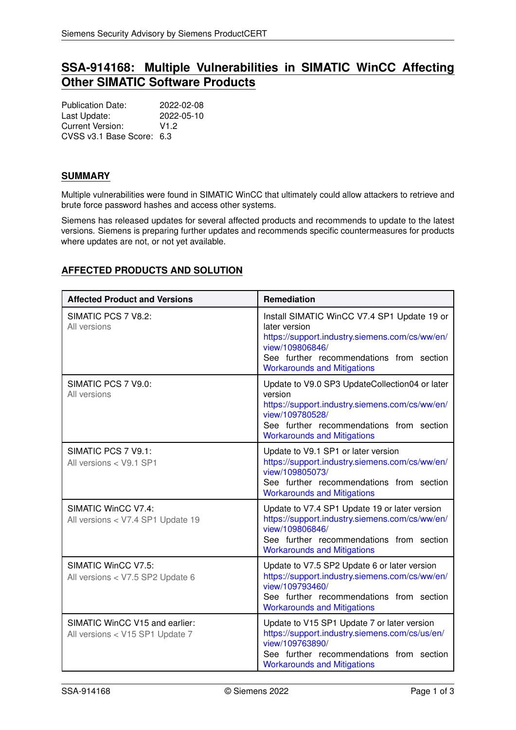# **SSA-914168: Multiple Vulnerabilities in SIMATIC WinCC Affecting Other SIMATIC Software Products**

Publication Date: 2022-02-08 Last Update: 2022-05-10 Current Version: V1.2 CVSS v3.1 Base Score: 6.3

## **SUMMARY**

Multiple vulnerabilities were found in SIMATIC WinCC that ultimately could allow attackers to retrieve and brute force password hashes and access other systems.

Siemens has released updates for several affected products and recommends to update to the latest versions. Siemens is preparing further updates and recommends specific countermeasures for products where updates are not, or not yet available.

# <span id="page-0-0"></span>**AFFECTED PRODUCTS AND SOLUTION**

| <b>Affected Product and Versions</b>                              | Remediation                                                                                                                                                                                                         |
|-------------------------------------------------------------------|---------------------------------------------------------------------------------------------------------------------------------------------------------------------------------------------------------------------|
| SIMATIC PCS 7 V8.2:<br>All versions                               | Install SIMATIC WinCC V7.4 SP1 Update 19 or<br>later version<br>https://support.industry.siemens.com/cs/ww/en/<br>view/109806846/<br>See further recommendations from section<br><b>Workarounds and Mitigations</b> |
| SIMATIC PCS 7 V9.0:<br>All versions                               | Update to V9.0 SP3 UpdateCollection04 or later<br>version<br>https://support.industry.siemens.com/cs/ww/en/<br>view/109780528/<br>See further recommendations from section<br><b>Workarounds and Mitigations</b>    |
| SIMATIC PCS 7 V9.1:<br>All versions < V9.1 SP1                    | Update to V9.1 SP1 or later version<br>https://support.industry.siemens.com/cs/ww/en/<br>view/109805073/<br>See further recommendations from section<br><b>Workarounds and Mitigations</b>                          |
| SIMATIC WinCC V7.4:<br>All versions < V7.4 SP1 Update 19          | Update to V7.4 SP1 Update 19 or later version<br>https://support.industry.siemens.com/cs/ww/en/<br>view/109806846/<br>See further recommendations from section<br><b>Workarounds and Mitigations</b>                |
| SIMATIC WinCC V7.5:<br>All versions < V7.5 SP2 Update 6           | Update to V7.5 SP2 Update 6 or later version<br>https://support.industry.siemens.com/cs/ww/en/<br>view/109793460/<br>See further recommendations from section<br><b>Workarounds and Mitigations</b>                 |
| SIMATIC WinCC V15 and earlier:<br>All versions < V15 SP1 Update 7 | Update to V15 SP1 Update 7 or later version<br>https://support.industry.siemens.com/cs/us/en/<br>view/109763890/<br>See further recommendations from section<br><b>Workarounds and Mitigations</b>                  |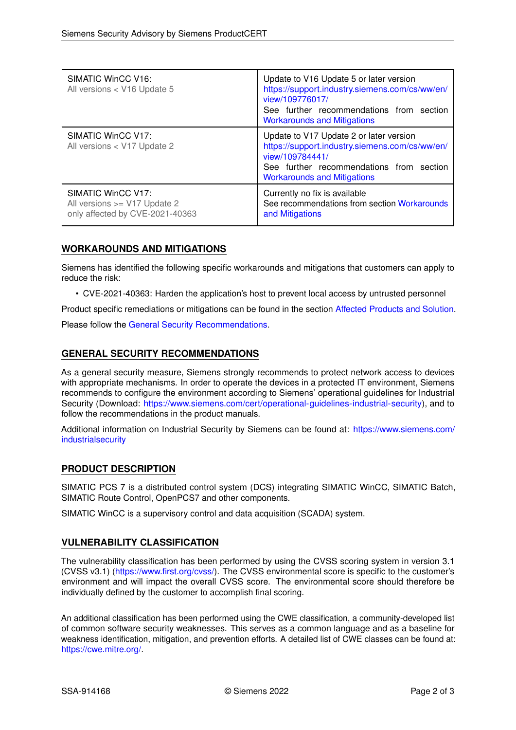| <b>SIMATIC WinCC V16:</b><br>All versions < V16 Update 5                              | Update to V16 Update 5 or later version<br>https://support.industry.siemens.com/cs/ww/en/<br>view/109776017/<br>See further recommendations from section<br><b>Workarounds and Mitigations</b> |
|---------------------------------------------------------------------------------------|------------------------------------------------------------------------------------------------------------------------------------------------------------------------------------------------|
| SIMATIC WinCC V17:<br>All versions < V17 Update 2                                     | Update to V17 Update 2 or later version<br>https://support.industry.siemens.com/cs/ww/en/<br>view/109784441/<br>See further recommendations from section<br><b>Workarounds and Mitigations</b> |
| SIMATIC WinCC V17:<br>All versions >= V17 Update 2<br>only affected by CVE-2021-40363 | Currently no fix is available<br>See recommendations from section Workarounds<br>and Mitigations                                                                                               |

## <span id="page-1-0"></span>**WORKAROUNDS AND MITIGATIONS**

Siemens has identified the following specific workarounds and mitigations that customers can apply to reduce the risk:

• CVE-2021-40363: Harden the application's host to prevent local access by untrusted personnel

Product specific remediations or mitigations can be found in the section [Affected Products and Solution.](#page-0-0)

<span id="page-1-1"></span>Please follow the [General Security Recommendations.](#page-1-1)

## **GENERAL SECURITY RECOMMENDATIONS**

As a general security measure, Siemens strongly recommends to protect network access to devices with appropriate mechanisms. In order to operate the devices in a protected IT environment, Siemens recommends to configure the environment according to Siemens' operational guidelines for Industrial Security (Download: [https://www.siemens.com/cert/operational-guidelines-industrial-security\)](https://www.siemens.com/cert/operational-guidelines-industrial-security), and to follow the recommendations in the product manuals.

Additional information on Industrial Security by Siemens can be found at: [https://www.siemens.com/](https://www.siemens.com/industrialsecurity) [industrialsecurity](https://www.siemens.com/industrialsecurity)

### **PRODUCT DESCRIPTION**

SIMATIC PCS 7 is a distributed control system (DCS) integrating SIMATIC WinCC, SIMATIC Batch, SIMATIC Route Control, OpenPCS7 and other components.

SIMATIC WinCC is a supervisory control and data acquisition (SCADA) system.

### **VULNERABILITY CLASSIFICATION**

The vulnerability classification has been performed by using the CVSS scoring system in version 3.1 (CVSS v3.1) [\(https://www.first.org/cvss/\)](https://www.first.org/cvss/). The CVSS environmental score is specific to the customer's environment and will impact the overall CVSS score. The environmental score should therefore be individually defined by the customer to accomplish final scoring.

An additional classification has been performed using the CWE classification, a community-developed list of common software security weaknesses. This serves as a common language and as a baseline for weakness identification, mitigation, and prevention efforts. A detailed list of CWE classes can be found at: [https://cwe.mitre.org/.](https://cwe.mitre.org/)